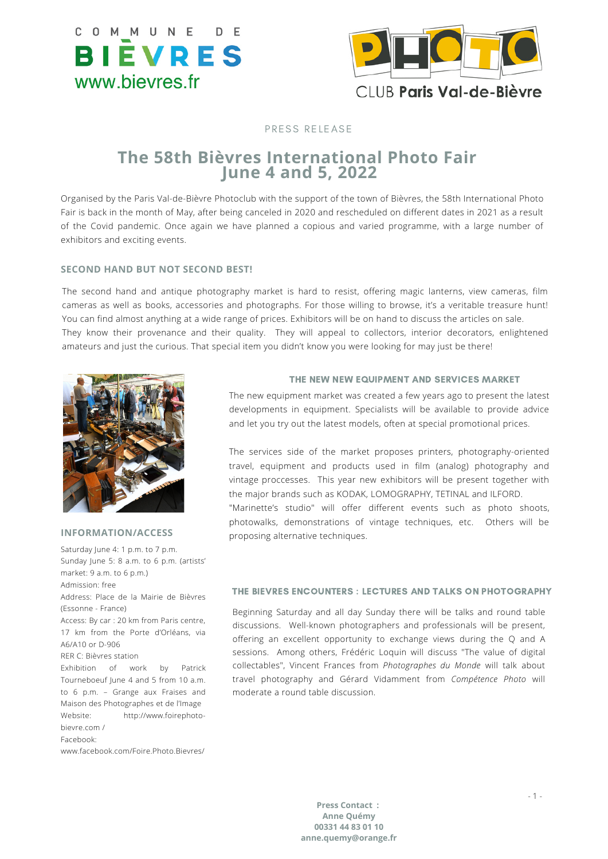



# CLUB Paris Val-de-Bièvre

## PRESS RELEASE

## **The 58th Bièvres International Photo Fair June 4 and 5, 2022**

Organised by the Paris Val-de-Bièvre Photoclub with the support of the town of Bièvres, the 58th International Photo Fair is back in the month of May, after being canceled in 2020 and rescheduled on different dates in 2021 as a result of the Covid pandemic. Once again we have planned a copious and varied programme, with a large number of exhibitors and exciting events.

## **SECOND HAND BUT NOT SECOND BEST!**

The second hand and antique photography market is hard to resist, offering magic lanterns, view cameras, film cameras as well as books, accessories and photographs. For those willing to browse, it's a veritable treasure hunt! You can find almost anything at a wide range of prices. Exhibitors will be on hand to discuss the articles on sale. They know their provenance and their quality. They will appeal to collectors, interior decorators, enlightened amateurs and just the curious. That special item you didn't know you were looking for may just be there!



#### **INFORMATION/ACCESS**

Saturday June 4: 1 p.m. to 7 p.m. Sunday June 5: 8 a.m. to 6 p.m. (artists' market: 9 a.m. to 6 p.m.) Admission: free Address: Place de la Mairie de Bièvres (Essonne - France) Access: By car : 20 km from Paris centre, 17 km from the Porte d'Orléans, via A6/A10 or D-906 RER C: Bièvres station Exhibition of work by Patrick Tourneboeuf June 4 and 5 from 10 a.m. to 6 p.m. – Grange aux Fraises and Maison des Photographes et de l'Image Website: http://www.foirephotobievre.com / Facebook:

www.facebook.com/Foire.Photo.Bievres/

## THE NEW NEW EQUIPMENT AND SERVICES MARKET

The new equipment market was created a few years ago to present the latest developments in equipment. Specialists will be available to provide advice and let you try out the latest models, often at special promotional prices.

The services side of the market proposes printers, photography-oriented travel, equipment and products used in film (analog) photography and vintage proccesses. This year new exhibitors will be present together with the major brands such as KODAK, LOMOGRAPHY, TETINAL and ILFORD. "Marinette's studio" will offer different events such as photo shoots, photowalks, demonstrations of vintage techniques, etc. Others will be proposing alternative techniques.

## THE BIEVRES ENCOUNTERS : LECTURES AND TALKS ON PHOTOGRAPHY

Beginning Saturday and all day Sunday there will be talks and round table discussions. Well-known photographers and professionals will be present, offering an excellent opportunity to exchange views during the Q and A sessions. Among others, Frédéric Loquin will discuss "The value of digital collectables", Vincent Frances from *Photographes du Monde* will talk about travel photography and Gérard Vidamment from *Compétence Photo* will moderate a round table discussion.